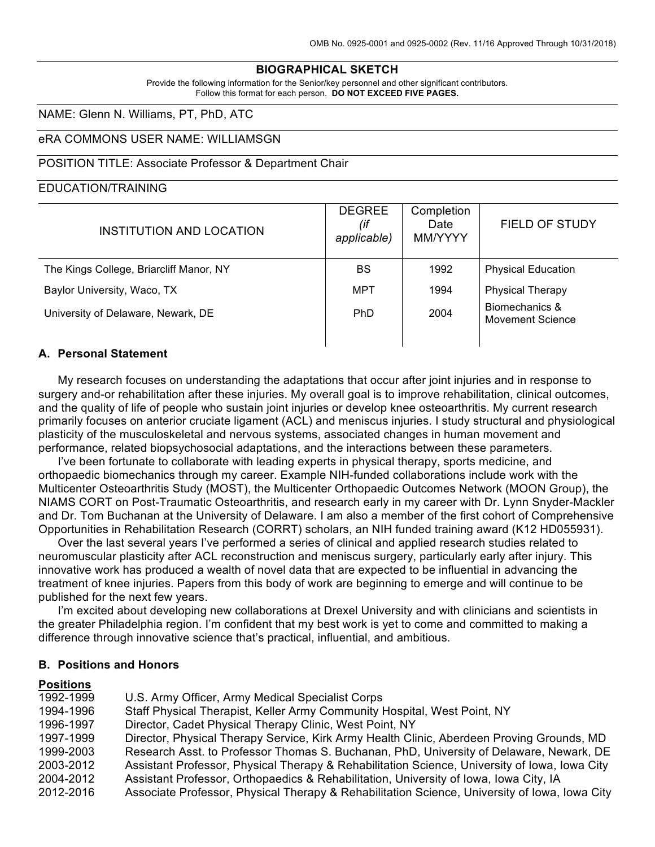## **BIOGRAPHICAL SKETCH**

Provide the following information for the Senior/key personnel and other significant contributors. Follow this format for each person. **DO NOT EXCEED FIVE PAGES.**

### NAME: Glenn N. Williams, PT, PhD, ATC

### eRA COMMONS USER NAME: WILLIAMSGN

#### POSITION TITLE: Associate Professor & Department Chair

#### EDUCATION/TRAINING

| INSTITUTION AND LOCATION                | <b>DEGREE</b><br>(if<br>applicable) | Completion<br>Date<br>MM/YYYY | FIELD OF STUDY                     |
|-----------------------------------------|-------------------------------------|-------------------------------|------------------------------------|
| The Kings College, Briarcliff Manor, NY | <b>BS</b>                           | 1992                          | <b>Physical Education</b>          |
| Baylor University, Waco, TX             | MPT                                 | 1994                          | <b>Physical Therapy</b>            |
| University of Delaware, Newark, DE      | <b>PhD</b>                          | 2004                          | Biomechanics &<br>Movement Science |
|                                         |                                     |                               |                                    |

## **A. Personal Statement**

My research focuses on understanding the adaptations that occur after joint injuries and in response to surgery and-or rehabilitation after these injuries. My overall goal is to improve rehabilitation, clinical outcomes, and the quality of life of people who sustain joint injuries or develop knee osteoarthritis. My current research primarily focuses on anterior cruciate ligament (ACL) and meniscus injuries. I study structural and physiological plasticity of the musculoskeletal and nervous systems, associated changes in human movement and performance, related biopsychosocial adaptations, and the interactions between these parameters.

I've been fortunate to collaborate with leading experts in physical therapy, sports medicine, and orthopaedic biomechanics through my career. Example NIH-funded collaborations include work with the Multicenter Osteoarthritis Study (MOST), the Multicenter Orthopaedic Outcomes Network (MOON Group), the NIAMS CORT on Post-Traumatic Osteoarthritis, and research early in my career with Dr. Lynn Snyder-Mackler and Dr. Tom Buchanan at the University of Delaware. I am also a member of the first cohort of Comprehensive Opportunities in Rehabilitation Research (CORRT) scholars, an NIH funded training award (K12 HD055931).

Over the last several years I've performed a series of clinical and applied research studies related to neuromuscular plasticity after ACL reconstruction and meniscus surgery, particularly early after injury. This innovative work has produced a wealth of novel data that are expected to be influential in advancing the treatment of knee injuries. Papers from this body of work are beginning to emerge and will continue to be published for the next few years.

I'm excited about developing new collaborations at Drexel University and with clinicians and scientists in the greater Philadelphia region. I'm confident that my best work is yet to come and committed to making a difference through innovative science that's practical, influential, and ambitious.

#### **B. Positions and Honors**

### **Positions**

| 1992-1999 | U.S. Army Officer, Army Medical Specialist Corps                                              |
|-----------|-----------------------------------------------------------------------------------------------|
| 1994-1996 | Staff Physical Therapist, Keller Army Community Hospital, West Point, NY                      |
| 1996-1997 | Director, Cadet Physical Therapy Clinic, West Point, NY                                       |
| 1997-1999 | Director, Physical Therapy Service, Kirk Army Health Clinic, Aberdeen Proving Grounds, MD     |
| 1999-2003 | Research Asst. to Professor Thomas S. Buchanan, PhD, University of Delaware, Newark, DE       |
| 2003-2012 | Assistant Professor, Physical Therapy & Rehabilitation Science, University of Iowa, Iowa City |
| 2004-2012 | Assistant Professor, Orthopaedics & Rehabilitation, University of Iowa, Iowa City, IA         |
| 2012-2016 | Associate Professor, Physical Therapy & Rehabilitation Science, University of Iowa, Iowa City |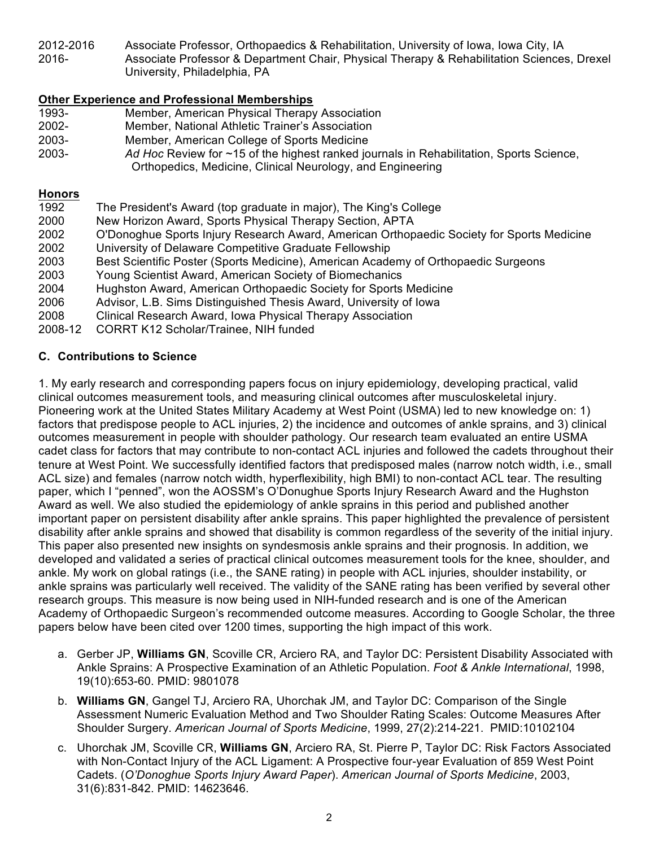2012-2016 Associate Professor, Orthopaedics & Rehabilitation, University of Iowa, Iowa City, IA 2016- Associate Professor & Department Chair, Physical Therapy & Rehabilitation Sciences, Drexel University, Philadelphia, PA

# **Other Experience and Professional Memberships**

- 1993- Member, American Physical Therapy Association 2002- Member, National Athletic Trainer's Association 2003- Member, American College of Sports Medicine 2003- *Ad Hoc* Review for ~15 of the highest ranked journals in Rehabilitation, Sports Science,
	- Orthopedics, Medicine, Clinical Neurology, and Engineering

### **Honors**

| 1992    | The President's Award (top graduate in major), The King's College                         |
|---------|-------------------------------------------------------------------------------------------|
| 2000    | New Horizon Award, Sports Physical Therapy Section, APTA                                  |
| 2002    | O'Donoghue Sports Injury Research Award, American Orthopaedic Society for Sports Medicine |
| 2002    | University of Delaware Competitive Graduate Fellowship                                    |
| 2003    | Best Scientific Poster (Sports Medicine), American Academy of Orthopaedic Surgeons        |
| 2003    | Young Scientist Award, American Society of Biomechanics                                   |
| 2004    | Hughston Award, American Orthopaedic Society for Sports Medicine                          |
| 2006    | Advisor, L.B. Sims Distinguished Thesis Award, University of Iowa                         |
| 2008    | Clinical Research Award, Iowa Physical Therapy Association                                |
| 2008-12 | <b>CORRT K12 Scholar/Trainee, NIH funded</b>                                              |

# **C. Contributions to Science**

1. My early research and corresponding papers focus on injury epidemiology, developing practical, valid clinical outcomes measurement tools, and measuring clinical outcomes after musculoskeletal injury. Pioneering work at the United States Military Academy at West Point (USMA) led to new knowledge on: 1) factors that predispose people to ACL injuries, 2) the incidence and outcomes of ankle sprains, and 3) clinical outcomes measurement in people with shoulder pathology. Our research team evaluated an entire USMA cadet class for factors that may contribute to non-contact ACL injuries and followed the cadets throughout their tenure at West Point. We successfully identified factors that predisposed males (narrow notch width, i.e., small ACL size) and females (narrow notch width, hyperflexibility, high BMI) to non-contact ACL tear. The resulting paper, which I "penned", won the AOSSM's O'Donughue Sports Injury Research Award and the Hughston Award as well. We also studied the epidemiology of ankle sprains in this period and published another important paper on persistent disability after ankle sprains. This paper highlighted the prevalence of persistent disability after ankle sprains and showed that disability is common regardless of the severity of the initial injury. This paper also presented new insights on syndesmosis ankle sprains and their prognosis. In addition, we developed and validated a series of practical clinical outcomes measurement tools for the knee, shoulder, and ankle. My work on global ratings (i.e., the SANE rating) in people with ACL injuries, shoulder instability, or ankle sprains was particularly well received. The validity of the SANE rating has been verified by several other research groups. This measure is now being used in NIH-funded research and is one of the American Academy of Orthopaedic Surgeon's recommended outcome measures. According to Google Scholar, the three papers below have been cited over 1200 times, supporting the high impact of this work.

- a. Gerber JP, **Williams GN**, Scoville CR, Arciero RA, and Taylor DC: Persistent Disability Associated with Ankle Sprains: A Prospective Examination of an Athletic Population. *Foot & Ankle International*, 1998, 19(10):653-60. PMID: 9801078
- b. **Williams GN**, Gangel TJ, Arciero RA, Uhorchak JM, and Taylor DC: Comparison of the Single Assessment Numeric Evaluation Method and Two Shoulder Rating Scales: Outcome Measures After Shoulder Surgery. *American Journal of Sports Medicine*, 1999, 27(2):214-221. PMID:10102104
- c. Uhorchak JM, Scoville CR, **Williams GN**, Arciero RA, St. Pierre P, Taylor DC: Risk Factors Associated with Non-Contact Injury of the ACL Ligament: A Prospective four-year Evaluation of 859 West Point Cadets. (*O'Donoghue Sports Injury Award Paper*). *American Journal of Sports Medicine*, 2003, 31(6):831-842. PMID: 14623646.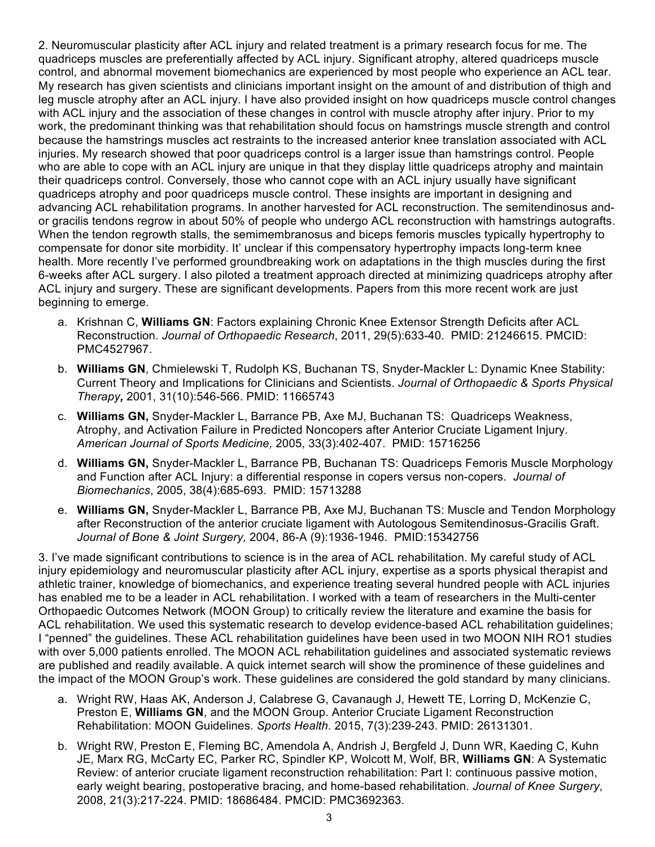2. Neuromuscular plasticity after ACL injury and related treatment is a primary research focus for me. The quadriceps muscles are preferentially affected by ACL injury. Significant atrophy, altered quadriceps muscle control, and abnormal movement biomechanics are experienced by most people who experience an ACL tear. My research has given scientists and clinicians important insight on the amount of and distribution of thigh and leg muscle atrophy after an ACL injury. I have also provided insight on how quadriceps muscle control changes with ACL injury and the association of these changes in control with muscle atrophy after injury. Prior to my work, the predominant thinking was that rehabilitation should focus on hamstrings muscle strength and control because the hamstrings muscles act restraints to the increased anterior knee translation associated with ACL injuries. My research showed that poor quadriceps control is a larger issue than hamstrings control. People who are able to cope with an ACL injury are unique in that they display little quadriceps atrophy and maintain their quadriceps control. Conversely, those who cannot cope with an ACL injury usually have significant quadriceps atrophy and poor quadriceps muscle control. These insights are important in designing and advancing ACL rehabilitation programs. In another harvested for ACL reconstruction. The semitendinosus andor gracilis tendons regrow in about 50% of people who undergo ACL reconstruction with hamstrings autografts. When the tendon regrowth stalls, the semimembranosus and biceps femoris muscles typically hypertrophy to compensate for donor site morbidity. It' unclear if this compensatory hypertrophy impacts long-term knee health. More recently I've performed groundbreaking work on adaptations in the thigh muscles during the first 6-weeks after ACL surgery. I also piloted a treatment approach directed at minimizing quadriceps atrophy after ACL injury and surgery. These are significant developments. Papers from this more recent work are just beginning to emerge.

- a. Krishnan C, **Williams GN**: Factors explaining Chronic Knee Extensor Strength Deficits after ACL Reconstruction. *Journal of Orthopaedic Research*, 2011, 29(5):633-40. PMID: 21246615. PMCID: PMC4527967.
- b. **Williams GN**, Chmielewski T, Rudolph KS, Buchanan TS, Snyder-Mackler L: Dynamic Knee Stability: Current Theory and Implications for Clinicians and Scientists. *Journal of Orthopaedic & Sports Physical Therapy,* 2001, 31(10):546-566. PMID: 11665743
- c. **Williams GN,** Snyder-Mackler L, Barrance PB, Axe MJ, Buchanan TS: Quadriceps Weakness, Atrophy, and Activation Failure in Predicted Noncopers after Anterior Cruciate Ligament Injury. *American Journal of Sports Medicine,* 2005, 33(3):402-407. PMID: 15716256
- d. **Williams GN,** Snyder-Mackler L, Barrance PB, Buchanan TS: Quadriceps Femoris Muscle Morphology and Function after ACL Injury: a differential response in copers versus non-copers. *Journal of Biomechanics*, 2005, 38(4):685-693. PMID: 15713288
- e. **Williams GN,** Snyder-Mackler L, Barrance PB, Axe MJ, Buchanan TS: Muscle and Tendon Morphology after Reconstruction of the anterior cruciate ligament with Autologous Semitendinosus-Gracilis Graft. *Journal of Bone & Joint Surgery,* 2004, 86-A (9):1936-1946. PMID:15342756

3. I've made significant contributions to science is in the area of ACL rehabilitation. My careful study of ACL injury epidemiology and neuromuscular plasticity after ACL injury, expertise as a sports physical therapist and athletic trainer, knowledge of biomechanics, and experience treating several hundred people with ACL injuries has enabled me to be a leader in ACL rehabilitation. I worked with a team of researchers in the Multi-center Orthopaedic Outcomes Network (MOON Group) to critically review the literature and examine the basis for ACL rehabilitation. We used this systematic research to develop evidence-based ACL rehabilitation guidelines; I "penned" the guidelines. These ACL rehabilitation guidelines have been used in two MOON NIH RO1 studies with over 5,000 patients enrolled. The MOON ACL rehabilitation guidelines and associated systematic reviews are published and readily available. A quick internet search will show the prominence of these guidelines and the impact of the MOON Group's work. These guidelines are considered the gold standard by many clinicians.

- a. Wright RW, Haas AK, Anderson J, Calabrese G, Cavanaugh J, Hewett TE, Lorring D, McKenzie C, Preston E, **Williams GN**, and the MOON Group. Anterior Cruciate Ligament Reconstruction Rehabilitation: MOON Guidelines. *Sports Health.* 2015, 7(3):239-243. PMID: 26131301.
- b. Wright RW, Preston E, Fleming BC, Amendola A, Andrish J, Bergfeld J, Dunn WR, Kaeding C, Kuhn JE, Marx RG, McCarty EC, Parker RC, Spindler KP, Wolcott M, Wolf, BR, **Williams GN**: A Systematic Review: of anterior cruciate ligament reconstruction rehabilitation: Part I: continuous passive motion, early weight bearing, postoperative bracing, and home-based rehabilitation. *Journal of Knee Surgery*, 2008, 21(3):217-224. PMID: 18686484. PMCID: PMC3692363.